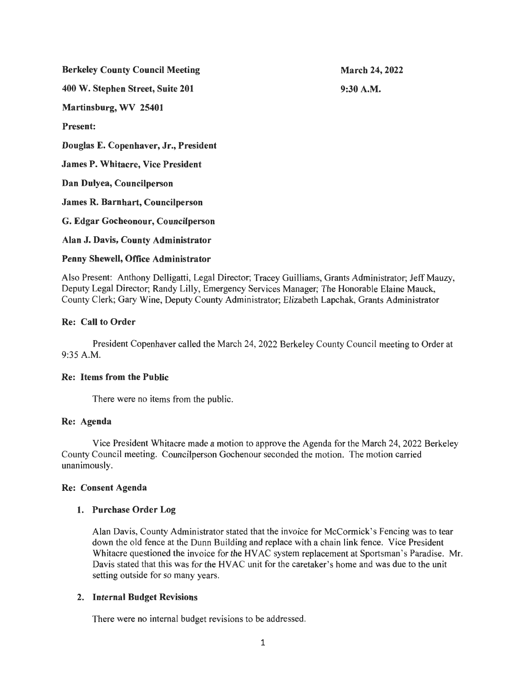Berkeley County Council Meeting 400 W. Stephen Street, Suite 201 Martinsburg, WV 25401 Present: Douglas E. Copenhaver, Jr., President James P. Whitacre, Vice President Dan Dulyea, Councilperson James R. Barnhart, Councilperson G. Edgar Gocheonour, Councilperson Alan J. Davis, County Administrator March 24, 2022 9:30A.M.

### Penny Shewell, Office Administrator

Also Present: Anthony Delligatti, Legal Director; Tracey Guilliams, Grants Administrator; Jeff Mauzy, Deputy Legal Director; Randy Lilly, Emergency Services Manager; The Honorable Elaine Mauck, County Clerk; Gary Wine, Deputy County Administrator; Elizabeth Lapchak, Grants Administrator

# Re: Call to Order

President Copenhaver called the March 24, 2022 Berkeley County Council meeting to Order at 9:35 A.M.

### Re: Items from the Public

There were no items from the public.

### Re: Agenda

Vice President Whitacre made a motion to approve the Agenda for the March 24, 2022 Berkeley County Council meeting. Councilperson Gochenour seconded the motion. The motion carried unanimously.

# Re: Consent Agenda

# 1. Purchase Order Log

Alan Davis, County Administrator stated that the invoice for McCormick's Fencing was to tear down the old fence at the Dunn Building and replace with a chain link fence. Vice President Whitacre questioned the invoice for the HV AC system replacement at Sportsman's Paradise. Mr. Davis stated that this was for the HVAC unit for the caretaker's home and was due to the unit setting outside for so many years.

# 2. Internal Budget Revisions

There were no internal budget revisions to be addressed.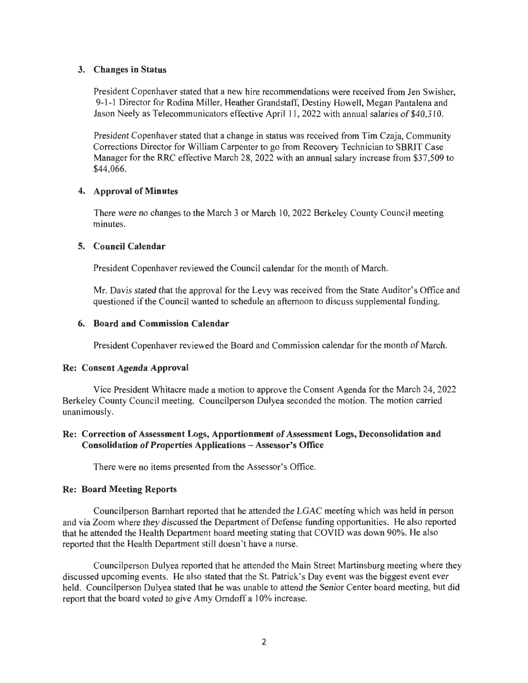### 3. Changes in Status

President Copenhaver stated that a new hire recommendations were received from Jen Swisher, 9-1-1 Director for Rodina Miller, Heather Grandstaff, Destiny Howell, Megan Pantalena and Jason Neely as Telecommunicators effective April 11, 2022 with annual salaries of \$40,310.

President Copenhaver stated that a change in status was received from Tim Czaja, Community Corrections Director for William Carpenter to go from Recovery Technician to SBRIT Case Manager for the RRC effective March 28, 2022 with an annual salary increase from \$37,509 to \$44,066.

### 4. Approval of Minutes

There were no changes to the March 3 or March 10, 2022 Berkeley County Council meeting minutes.

# 5. Council Calendar

President Copenhaver reviewed the Council calendar for the month of March.

Mr. Davis stated that the approval for the Levy was received from the State Auditor's Office and questioned if the Council wanted to schedule an afternoon to discuss supplemental funding.

### 6. Board and Commission Calendar

President Copenhaver reviewed the Board and Commission calendar for the month of March.

### Re: Consent Agenda Approval

Vice President Whitacre made a motion to approve the Consent Agenda for the March 24, 2022 Berkeley County Council meeting. Councilperson Dulyea seconded the motion. The motion carried unanimously.

# Re: Correction of Assessment Logs, Apportionment of Assessment Logs, Deconsolidation and Consolidation of Properties Applications - Assessor's Office

There were no items presented from the Assessor's Office.

### Re: Board Meeting Reports

Councilperson Barnhart reported that he attended the LGAC meeting which was held in person and via Zoom where they discussed the Department of Defense funding opportunities. He also reported that he attended the Health Department board meeting stating that COVID was down 90%. He also reported that the Health Department still doesn't have a nurse.

Councilperson Dulyea reported that he attended the Main Street Martinsburg meeting where they discussed upcoming events. He also stated that the St. Patrick's Day event was the biggest event ever held. Councilperson Dulyea stated that he was unable to attend the Senior Center board meeting, but did report that the board voted to give Amy Orndoff a 10% increase.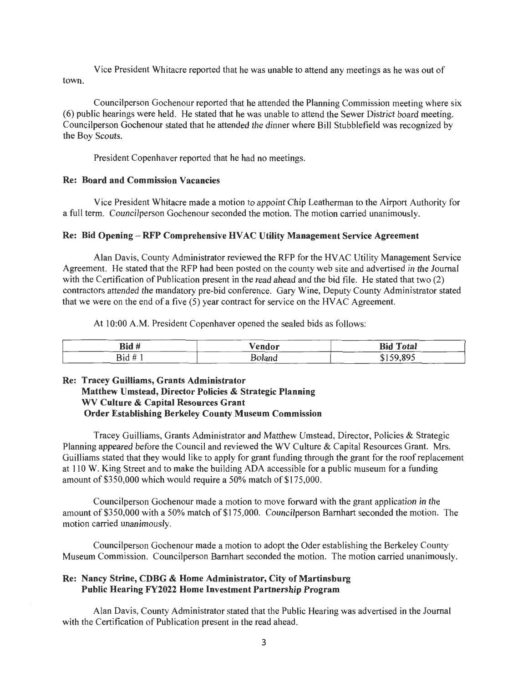Vice President Whitacre reported that he was unable to attend any meetings as he was out of town.

Councilperson Gochenour reported that he attended the Planning Commission meeting where six (6) public hearings were held. He stated that he was unable to attend the Sewer District board meeting. Councilperson Gochenour stated that he attended the dinner where Bill Stubblefield was recognized by the Boy Scouts.

President Copenhaver reported that he had no meetings.

#### Re: Board and Commission Vacancies

Vice President Whitacre made a motion to appoint Chip Leatherman to the Airport Authority for a full term. Councilperson Gochenour seconded the motion. The motion carried unanimously.

#### Re: Bid Opening- RFP Comprehensive HV AC Utility Management Service Agreement

Alan Davis, County Administrator reviewed the RFP for the HV AC Utility Management Service Agreement. He stated that the RFP had been posted on the county web site and advertised in the Journal with the Certification of Publication present in the read ahead and the bid file. He stated that two (2) contractors attended the mandatory pre-bid conference. Gary Wine, Deputy County Administrator stated that we were on the end of a five (5) year contract for service on the HVAC Agreement.

At 10:00 A.M. President Copenhaver opened the sealed bids as follows:

| Bid#                 | $^{\vee}$ endor                                                       | <b>Bid Total</b> |
|----------------------|-----------------------------------------------------------------------|------------------|
| $Bid \# 1$<br>------ | 'olang<br>_______<br>and the control of the control of the control of | 150.80<br>______ |

# Re: Tracey Guilliams, Grants Administrator Matthew Umstead, Director Policies & Strategic Planning WV Culture & Capital Resources Grant Order Establishing Berkeley County Museum Commission

Tracey Guilliams, Grants Administrator and Matthew Umstead, Director, Policies & Strategic Planning appeared before the Council and reviewed the WV Culture & Capital Resources Grant. Mrs. Guilliams stated that they would like to apply for grant funding through the grant for the roof replacement at 110 W. King Street and to make the building ADA accessible for a public museum for a funding amount of \$350,000 which would require a 50% match of \$175,000.

Councilperson Gochenour made a motion to move forward with the grant application in the amount of \$350,000 with a 50% match of \$175,000. Councilperson Barnhart seconded the motion. The motion carried unanimously.

Councilperson Gochenour made a motion to adopt the Oder establishing the Berkeley County Museum Commission. Councilperson Barnhart seconded the motion. The motion carried unanimously.

### Re: Nancy Strine, CDBG & Home Administrator, City of Martinsburg Public Hearing FY2022 Home Investment Partnership Program

Alan Davis, County Administrator stated that the Public Hearing was advertised in the Journal with the Certification of Publication present in the read ahead.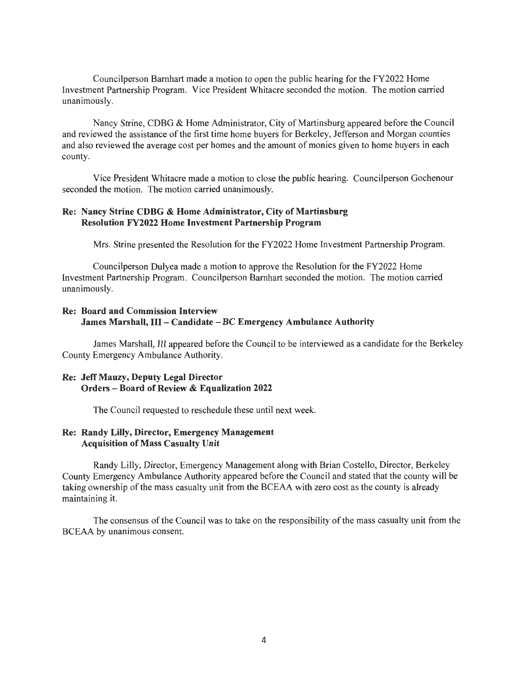Councilperson Barnhart made a motion to open the public hearing for the FY2022 Home Investment Partnership Program. Vice President Whitacre seconded the motion. The motion carried unanimously.

Nancy Strine, CDBG & Home Administrator, City of Martinsburg appeared before the Council and reviewed the assistance of the first time home buyers for Berkeley, Jefferson and Morgan counties and also reviewed the average cost per homes and the amount of monies given to home buyers in each county.

Vice President Whitacre made a motion to close the public hearing. Councilperson Gochenour seconded the motion. The motion carried unanimously.

### Re: Nancy Strine CDBG & Home Administrator, City of Martinsburg Resolution FY2022 Home Investment Partnership Program

Mrs. Strine presented the Resolution for the FY2022 Home Investment Partnership Program.

Councilperson Dulyea made a motion to approve the Resolution for the FY2022 Home Investment Partnership Program. Councilperson Barnhart seconded the motion. The motion carried unanimously.

# Re: Board and Commission Interview James Marshall, III - Candidate - BC Emergency Ambulance Authority

James Marshall, IlI appeared before the Council to be interviewed as a candidate for the Berkeley County Emergency Ambulance Authority.

## Re: Jeff Mauzy, Deputy Legal Director Orders-Board of Review & Equalization 2022

The Council requested to reschedule these until next week.

### Re: Randy Lilly, Director, Emergency Management Acquisition of Mass Casualty Unit

Randy Lilly, Director, Emergency Management along with Brian Costello, Director, Berkeley County Emergency Ambulance Authority appeared before the Council and stated that the county will be taking ownership of the mass casualty unit from the BCEAA with zero cost as the county is already maintaining it.

The consensus of the Council was to take on the responsibility of the mass casualty unit from the BCEAA by unanimous consent.